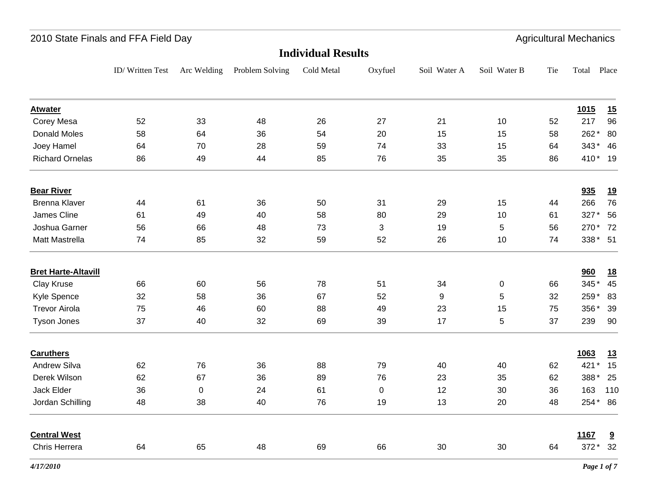|                            | 2010 State Finals and FFA Field Day |             |                 |            |                |              |              |     | <b>Agricultural Mechanics</b> |                         |  |
|----------------------------|-------------------------------------|-------------|-----------------|------------|----------------|--------------|--------------|-----|-------------------------------|-------------------------|--|
| <b>Individual Results</b>  |                                     |             |                 |            |                |              |              |     |                               |                         |  |
|                            | ID/Written Test                     | Arc Welding | Problem Solving | Cold Metal | Oxyfuel        | Soil Water A | Soil Water B | Tie | Total                         | Place                   |  |
| <b>Atwater</b>             |                                     |             |                 |            |                |              |              |     | <u>1015</u>                   | 15                      |  |
| Corey Mesa                 | 52                                  | 33          | 48              | 26         | 27             | 21           | 10           | 52  | 217                           | 96                      |  |
| Donald Moles               | 58                                  | 64          | 36              | 54         | 20             | 15           | 15           | 58  | 262*                          | 80                      |  |
| Joey Hamel                 | 64                                  | 70          | 28              | 59         | 74             | 33           | 15           | 64  | $343*$                        | 46                      |  |
| <b>Richard Ornelas</b>     | 86                                  | 49          | 44              | 85         | 76             | 35           | 35           | 86  | 410* 19                       |                         |  |
| <b>Bear River</b>          |                                     |             |                 |            |                |              |              |     | 935                           | <u>19</u>               |  |
| <b>Brenna Klaver</b>       | 44                                  | 61          | 36              | 50         | 31             | 29           | 15           | 44  | 266                           | 76                      |  |
| James Cline                | 61                                  | 49          | 40              | 58         | 80             | 29           | 10           | 61  | 327*                          | 56                      |  |
| Joshua Garner              | 56                                  | 66          | 48              | 73         | $\mathfrak{S}$ | 19           | 5            | 56  | 270*                          | 72                      |  |
| Matt Mastrella             | 74                                  | 85          | 32              | 59         | 52             | 26           | $10$         | 74  | 338* 51                       |                         |  |
| <b>Bret Harte-Altavill</b> |                                     |             |                 |            |                |              |              |     | 960                           | <u>18</u>               |  |
| Clay Kruse                 | 66                                  | 60          | 56              | 78         | 51             | 34           | 0            | 66  | 345*                          | 45                      |  |
| Kyle Spence                | 32                                  | 58          | 36              | 67         | 52             | 9            | 5            | 32  | 259*                          | 83                      |  |
| <b>Trevor Airola</b>       | 75                                  | 46          | 60              | 88         | 49             | 23           | 15           | 75  | 356*                          | 39                      |  |
| <b>Tyson Jones</b>         | 37                                  | 40          | 32              | 69         | 39             | 17           | 5            | 37  | 239                           | 90                      |  |
| <b>Caruthers</b>           |                                     |             |                 |            |                |              |              |     | 1063                          | 13                      |  |
| Andrew Silva               | 62                                  | 76          | 36              | 88         | 79             | 40           | 40           | 62  | 421                           | 15                      |  |
| Derek Wilson               | 62                                  | 67          | 36              | 89         | 76             | 23           | 35           | 62  | 388*                          | 25                      |  |
| Jack Elder                 | 36                                  | $\pmb{0}$   | 24              | 61         | $\pmb{0}$      | 12           | 30           | 36  | 163                           | 110                     |  |
| Jordan Schilling           | 48                                  | 38          | 40              | 76         | 19             | 13           | 20           | 48  | 254* 86                       |                         |  |
| <b>Central West</b>        |                                     |             |                 |            |                |              |              |     | 1167                          | $\overline{\mathbf{a}}$ |  |
| Chris Herrera              | 64                                  | 65          | 48              | 69         | 66             | 30           | 30           | 64  | 372* 32                       |                         |  |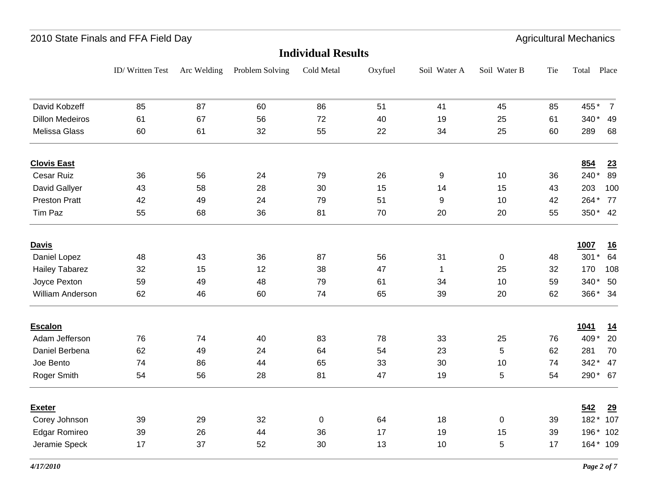#### ID/ Written Test Arc Welding Problem Solving Cold Metal Oxyfuel Soil Water A Soil Water B Total Place Tie **Individual Results**2010 State Finals and FFA Field Day **Agricultural Mechanics** Agricultural Mechanics David Kobzeff 85 87 60 86 51 41 45 85 455\* 7 45 85 455\* 7 Dillon Medeiros 61 67 56 72 40 19 25 61 340 \* 49 25 61 340<sup>\*</sup> 49 Melissa Glass 60 61 32 55 22 34 25 60 289 68 25 60 **Clovis East 854 23** Cesar Ruiz 36 56 24 79 26 9 10 36 240 \* 89 10 36 240\* 89 David Gallyer 43 58 28 30 15 14 15 43 203 100 Preston Pratt 42 49 24 79 51 9 10 42 264 \* 77 10 42 264\* 77 Tim Paz 55 68 36 81 70 20 350 4220 55 350\* 42 **Davis 1007 16** Daniel Lopez 48 43 36 87 56 31 0 48 301 \* 64 Hailey Tabarez 32 15 12 38 47 1 25 32 170 108 Joyce Pexton 59 49 48 79 61 34 10 59 340 \* 50 William Anderson 62 46 60 74 65 39 20 62 366\* 34  $366*$ **Escalon 1041 14** Adam Jefferson 76 74 40 83 78 33 25 76 409 \* 20 25 76 409<sup>\*</sup> 20 Daniel Berbena 62 49 24 64 54 23 5 62 281 70 5 62 Joe Bento 74 86 44 65 33 30 10 74 342\* 47 10 74 342  $*$  47 Roger Smith 54 56 28 81 47 19 5 54 290 \* 67 **Exeter 542 29** Corey Johnson 39 29 32 0 64 18 0 39 182 \* 107 Edgar Romireo 39 26 44 36 17 19 15 39 196 \* 102 Jeramie Speck 17 37 52 30 13 10 5 17 164\* 109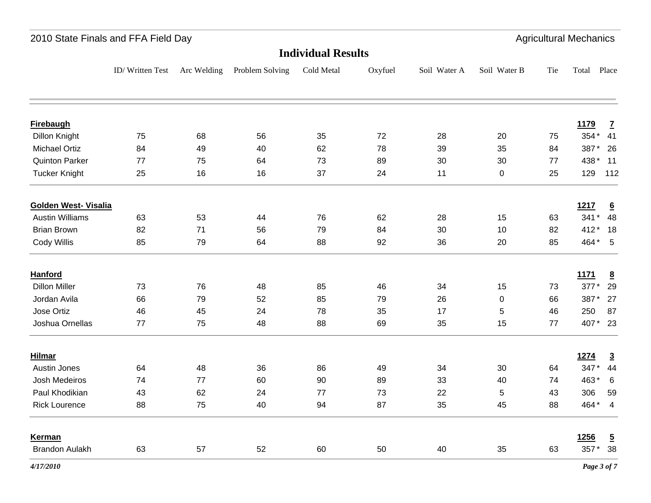|                             | 2010 State Finals and FFA Field Day |             |                 |            |         |              |              |     | <b>Agricultural Mechanics</b> |                 |
|-----------------------------|-------------------------------------|-------------|-----------------|------------|---------|--------------|--------------|-----|-------------------------------|-----------------|
| <b>Individual Results</b>   |                                     |             |                 |            |         |              |              |     |                               |                 |
|                             | ID/Written Test                     | Arc Welding | Problem Solving | Cold Metal | Oxyfuel | Soil Water A | Soil Water B | Tie | Total Place                   |                 |
| <b>Firebaugh</b>            |                                     |             |                 |            |         |              |              |     | <b>1179</b>                   | $\overline{1}$  |
| Dillon Knight               | 75                                  | 68          | 56              | 35         | 72      | 28           | 20           | 75  | 354* 41                       |                 |
| <b>Michael Ortiz</b>        | 84                                  | 49          | 40              | 62         | 78      | 39           | 35           | 84  | 387*                          | 26              |
| <b>Quinton Parker</b>       | 77                                  | 75          | 64              | 73         | 89      | 30           | 30           | 77  | 438 *                         | 11              |
| <b>Tucker Knight</b>        | 25                                  | 16          | 16              | 37         | 24      | 11           | 0            | 25  | 129                           | 112             |
| <b>Golden West- Visalia</b> |                                     |             |                 |            |         |              |              |     | <u>1217</u>                   | $\underline{6}$ |
| <b>Austin Williams</b>      | 63                                  | 53          | 44              | 76         | 62      | 28           | 15           | 63  | $341*$                        | 48              |
| <b>Brian Brown</b>          | 82                                  | 71          | 56              | 79         | 84      | 30           | 10           | 82  | 412*                          | 18              |
| Cody Willis                 | 85                                  | 79          | 64              | 88         | 92      | 36           | 20           | 85  | 464* 5                        |                 |
| <b>Hanford</b>              |                                     |             |                 |            |         |              |              |     | 1171                          | $\underline{8}$ |
| <b>Dillon Miller</b>        | 73                                  | 76          | 48              | 85         | 46      | 34           | 15           | 73  | 377*                          | 29              |
| Jordan Avila                | 66                                  | 79          | 52              | 85         | 79      | 26           | 0            | 66  | 387*                          | 27              |
| Jose Ortiz                  | 46                                  | 45          | 24              | 78         | 35      | 17           | 5            | 46  | 250                           | 87              |
| Joshua Ornellas             | 77                                  | 75          | 48              | 88         | 69      | 35           | 15           | 77  | 407* 23                       |                 |
| <b>Hilmar</b>               |                                     |             |                 |            |         |              |              |     | 1274                          | $\overline{3}$  |
| <b>Austin Jones</b>         | 64                                  | 48          | 36              | 86         | 49      | 34           | 30           | 64  | 347*                          | 44              |
| Josh Medeiros               | 74                                  | 77          | 60              | 90         | 89      | 33           | 40           | 74  | 463*                          | $6\phantom{1}6$ |
| Paul Khodikian              | 43                                  | 62          | 24              | 77         | 73      | 22           | 5            | 43  | 306                           | 59              |
| <b>Rick Lourence</b>        | 88                                  | 75          | 40              | 94         | 87      | 35           | 45           | 88  | 464* 4                        |                 |
| Kerman                      |                                     |             |                 |            |         |              |              |     | 1256                          | $\overline{5}$  |
| <b>Brandon Aulakh</b>       | 63                                  | 57          | 52              | 60         | 50      | 40           | 35           | 63  | 357* 38                       |                 |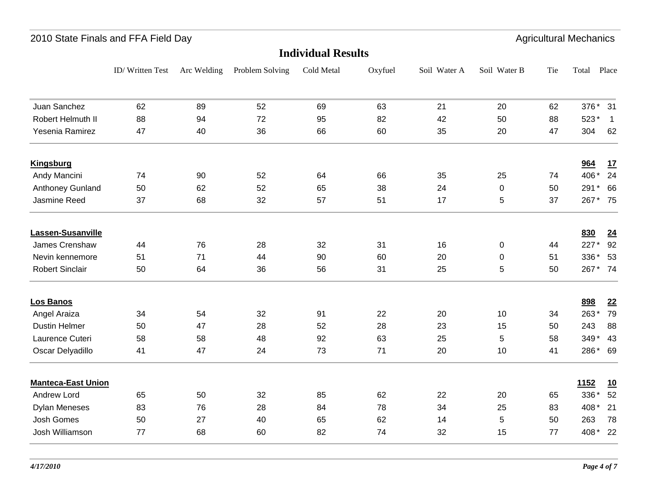### ID/ Written Test Arc Welding Problem Solving Cold Metal Oxyfuel Soil Water A Soil Water B Total Place Tie **Individual Results**2010 State Finals and FFA Field Day **Agricultural Mechanics** Agricultural Mechanics Juan Sanchez 62 89 52 69 63 21 376 3120 62 376<sup>\*</sup> 31 Robert Helmuth II 88 94 72 95 82 42 50 88 523\* 1 50 88 523\* 1 Yesenia Ramirez 47 40 36 66 60 35 304 62304 **Kingsburg 964 17** Andy Mancini 74 90 52 64 66 35 406 24 25 74 \* Anthoney Gunland 50 62 52 65 38 24 0 50 291 \* 66 Jasmine Reed 37 68 32 57 51 17 5 37 267 \* 75 5 37 267\* 75 **Lassen-Susanville 830 24** James Crenshaw  $14$  76 28 32 31 16 0 44 227 \* 92  $227*$ Nevin kennemore 51 51 71 44 90 60 20 0 51 336 \* 53  $336*$ Robert Sinclair 50 64 36 56 31 25 5 50 267*\** 74 50  $267 * 74$ **Los Banos 898 22** Angel Araiza 34 54 32 91 22 20 10 34 263\* 79 Dustin Helmer 50 47 28 52 28 23 15 50 243 88 15 50 243 88 Laurence Cuteri 58 58 48 92 63 25 5 58 349 \* 43 5 58 349\* 43 Oscar Delyadillo 41 47 24 73 71 20 10 41 286 \* 69 **Manteca-East Union 1152 10** Andrew Lord 65 50 32 85 62 22 20 65 336 \* 52 20 65 336\* 52 Dylan Meneses 83 76 28 84 78 34 25 83 408 \* 21 Josh Gomes 50 27 40 65 62 14 263 78 5 50 Josh Williamson 77 68 60 82 74 32 15 77 408 \* 22 15 77 408\* 22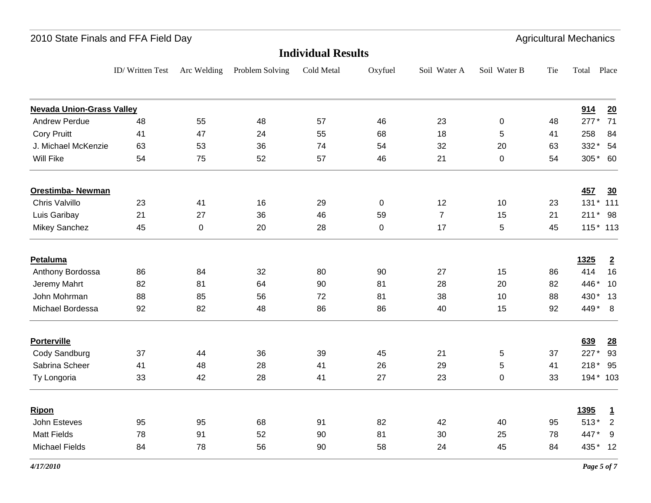| 2010 State Finals and FFA Field Day |                           |             |                 |            |           |                |              |     | <b>Agricultural Mechanics</b> |                |  |
|-------------------------------------|---------------------------|-------------|-----------------|------------|-----------|----------------|--------------|-----|-------------------------------|----------------|--|
|                                     | <b>Individual Results</b> |             |                 |            |           |                |              |     |                               |                |  |
|                                     | ID/Written Test           | Arc Welding | Problem Solving | Cold Metal | Oxyfuel   | Soil Water A   | Soil Water B | Tie | Total                         | Place          |  |
| <b>Nevada Union-Grass Valley</b>    |                           |             |                 |            |           |                |              |     | 914                           | 20             |  |
| <b>Andrew Perdue</b>                | 48                        | 55          | 48              | 57         | 46        | 23             | $\pmb{0}$    | 48  | $277*$                        | 71             |  |
| <b>Cory Pruitt</b>                  | 41                        | 47          | 24              | 55         | 68        | 18             | 5            | 41  | 258                           | 84             |  |
| J. Michael McKenzie                 | 63                        | 53          | 36              | 74         | 54        | 32             | 20           | 63  | 332* 54                       |                |  |
| Will Fike                           | 54                        | 75          | 52              | 57         | 46        | 21             | 0            | 54  | 305* 60                       |                |  |
| <b>Orestimba- Newman</b>            |                           |             |                 |            |           |                |              |     | 457                           | $\frac{30}{2}$ |  |
| Chris Valvillo                      | 23                        | 41          | 16              | 29         | 0         | 12             | 10           | 23  | 131 * 111                     |                |  |
| Luis Garibay                        | 21                        | 27          | 36              | 46         | 59        | $\overline{7}$ | 15           | 21  | 211* 98                       |                |  |
| Mikey Sanchez                       | 45                        | $\pmb{0}$   | 20              | 28         | $\pmb{0}$ | 17             | 5            | 45  | 115 * 113                     |                |  |
| Petaluma                            |                           |             |                 |            |           |                |              |     | 1325                          | $\overline{2}$ |  |
| Anthony Bordossa                    | 86                        | 84          | 32              | 80         | 90        | 27             | 15           | 86  | 414                           | 16             |  |
| Jeremy Mahrt                        | 82                        | 81          | 64              | 90         | 81        | 28             | 20           | 82  | 446*                          | 10             |  |
| John Mohrman                        | 88                        | 85          | 56              | 72         | 81        | 38             | 10           | 88  | 430* 13                       |                |  |
| Michael Bordessa                    | 92                        | 82          | 48              | 86         | 86        | 40             | 15           | 92  | 449* 8                        |                |  |
| <b>Porterville</b>                  |                           |             |                 |            |           |                |              |     | 639                           | 28             |  |
| Cody Sandburg                       | 37                        | 44          | 36              | 39         | 45        | 21             | 5            | 37  | 227*                          | 93             |  |
| Sabrina Scheer                      | 41                        | 48          | 28              | 41         | 26        | 29             | 5            | 41  | $218*$                        | 95             |  |
| Ty Longoria                         | 33                        | 42          | 28              | 41         | 27        | 23             | $\mathbf 0$  | 33  | 194* 103                      |                |  |
| Ripon                               |                           |             |                 |            |           |                |              |     | <b>1395</b>                   | $\overline{1}$ |  |
| John Esteves                        | 95                        | 95          | 68              | 91         | 82        | 42             | 40           | 95  | $513*$                        | $\sqrt{2}$     |  |
| <b>Matt Fields</b>                  | 78                        | 91          | 52              | 90         | 81        | 30             | 25           | 78  | 447*                          | 9              |  |
| <b>Michael Fields</b>               | 84                        | 78          | 56              | 90         | 58        | 24             | 45           | 84  | 435* 12                       |                |  |
|                                     |                           |             |                 |            |           |                |              |     |                               |                |  |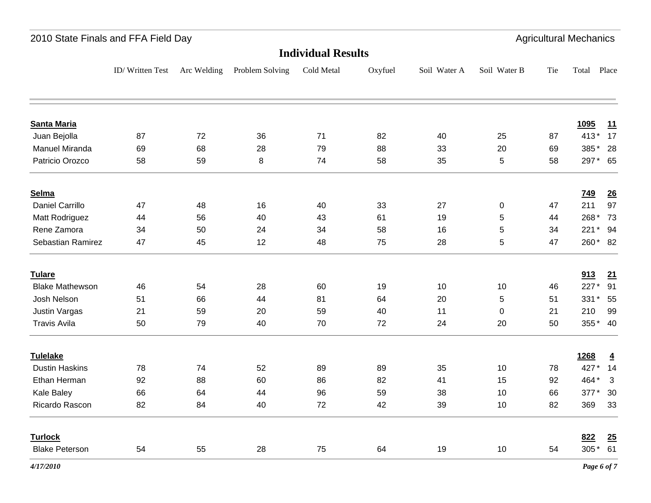| 2010 State Finals and FFA Field Day |                 |             |                 |                           |         |              |              |     | <b>Agricultural Mechanics</b> |                  |
|-------------------------------------|-----------------|-------------|-----------------|---------------------------|---------|--------------|--------------|-----|-------------------------------|------------------|
|                                     |                 |             |                 | <b>Individual Results</b> |         |              |              |     |                               |                  |
|                                     | ID/Written Test | Arc Welding | Problem Solving | Cold Metal                | Oxyfuel | Soil Water A | Soil Water B | Tie | Total Place                   |                  |
| <b>Santa Maria</b>                  |                 |             |                 |                           |         |              |              |     | <b>1095</b>                   | 11               |
| Juan Bejolla                        | 87              | 72          | 36              | 71                        | 82      | 40           | 25           | 87  | $413*$                        | 17               |
| <b>Manuel Miranda</b>               | 69              | 68          | 28              | 79                        | 88      | 33           | 20           | 69  | 385*                          | 28               |
| Patricio Orozco                     | 58              | 59          | 8               | 74                        | 58      | 35           | 5            | 58  | 297* 65                       |                  |
| Selma                               |                 |             |                 |                           |         |              |              |     | <u>749</u>                    | $\underline{26}$ |
| Daniel Carrillo                     | 47              | 48          | 16              | 40                        | 33      | 27           | 0            | 47  | 211                           | 97               |
| Matt Rodriguez                      | 44              | 56          | 40              | 43                        | 61      | 19           | 5            | 44  | 268*                          | 73               |
| Rene Zamora                         | 34              | 50          | 24              | 34                        | 58      | 16           | 5            | 34  |                               | 221* 94          |
| Sebastian Ramirez                   | 47              | 45          | 12              | 48                        | 75      | 28           | 5            | 47  |                               | 260* 82          |
| <b>Tulare</b>                       |                 |             |                 |                           |         |              |              |     | 913                           | 21               |
| <b>Blake Mathewson</b>              | 46              | 54          | 28              | 60                        | 19      | 10           | 10           | 46  | 227*                          | 91               |
| Josh Nelson                         | 51              | 66          | 44              | 81                        | 64      | 20           | 5            | 51  | 331* 55                       |                  |
| <b>Justin Vargas</b>                | 21              | 59          | 20              | 59                        | 40      | 11           | 0            | 21  | 210                           | 99               |
| <b>Travis Avila</b>                 | 50              | 79          | 40              | 70                        | 72      | 24           | 20           | 50  |                               | 355* 40          |
| <b>Tulelake</b>                     |                 |             |                 |                           |         |              |              |     | 1268                          | $\overline{4}$   |
| <b>Dustin Haskins</b>               | 78              | 74          | 52              | 89                        | 89      | 35           | 10           | 78  | 427*                          | 14               |
| Ethan Herman                        | 92              | 88          | 60              | 86                        | 82      | 41           | 15           | 92  | 464*                          | $\mathbf{3}$     |
| Kale Baley                          | 66              | 64          | 44              | 96                        | 59      | 38           | 10           | 66  | 377*                          | 30               |
| Ricardo Rascon                      | 82              | 84          | 40              | 72                        | 42      | 39           | 10           | 82  | 369                           | 33               |
| <b>Turlock</b>                      |                 |             |                 |                           |         |              |              |     | 822                           | 25               |
| <b>Blake Peterson</b>               | 54              | 55          | 28              | 75                        | 64      | 19           | 10           | 54  |                               | 305* 61          |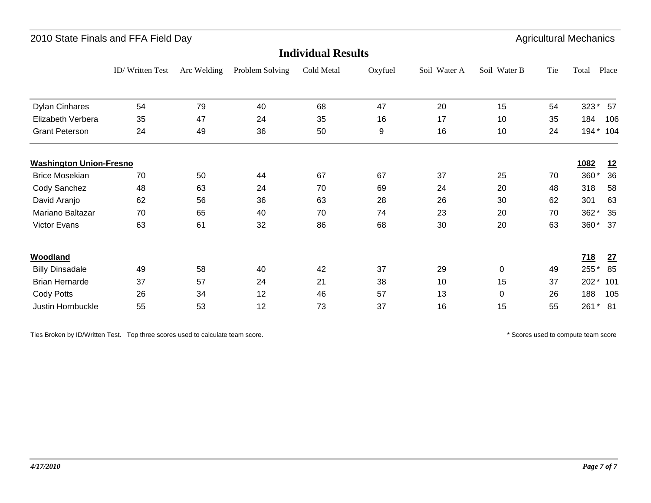| 2010 State Finals and FFA Field Day |                 |             |                 |                           |         |              |              |     | <b>Agricultural Mechanics</b> |         |
|-------------------------------------|-----------------|-------------|-----------------|---------------------------|---------|--------------|--------------|-----|-------------------------------|---------|
|                                     |                 |             |                 | <b>Individual Results</b> |         |              |              |     |                               |         |
|                                     | ID/Written Test | Arc Welding | Problem Solving | Cold Metal                | Oxyfuel | Soil Water A | Soil Water B | Tie | Total                         | Place   |
| <b>Dylan Cinhares</b>               | 54              | 79          | 40              | 68                        | 47      | 20           | 15           | 54  | 323*                          | 57      |
| Elizabeth Verbera                   | 35              | 47          | 24              | 35                        | 16      | 17           | 10           | 35  | 184                           | 106     |
| <b>Grant Peterson</b>               | 24              | 49          | 36              | 50                        | 9       | 16           | 10           | 24  | $194*$                        | 104     |
| <b>Washington Union-Fresno</b>      |                 |             |                 |                           |         |              |              |     | 1082                          | 12      |
| <b>Brice Mosekian</b>               | 70              | 50          | 44              | 67                        | 67      | 37           | 25           | 70  | 360*                          | 36      |
| Cody Sanchez                        | 48              | 63          | 24              | 70                        | 69      | 24           | 20           | 48  | 318                           | 58      |
| David Aranjo                        | 62              | 56          | 36              | 63                        | 28      | 26           | 30           | 62  | 301                           | 63      |
| Mariano Baltazar                    | 70              | 65          | 40              | 70                        | 74      | 23           | 20           | 70  | 362*                          | 35      |
| Victor Evans                        | 63              | 61          | 32              | 86                        | 68      | 30           | 20           | 63  |                               | 360* 37 |
| Woodland                            |                 |             |                 |                           |         |              |              |     | <u>718</u>                    | 27      |
| <b>Billy Dinsadale</b>              | 49              | 58          | 40              | 42                        | 37      | 29           | 0            | 49  | 255*                          | 85      |
| <b>Brian Hernarde</b>               | 37              | 57          | 24              | 21                        | 38      | 10           | 15           | 37  | $202*$                        | 101     |
| Cody Potts                          | 26              | 34          | 12              | 46                        | 57      | 13           | 0            | 26  | 188                           | 105     |
| Justin Hornbuckle                   | 55              | 53          | 12              | 73                        | 37      | 16           | 15           | 55  |                               | 261* 81 |
|                                     |                 |             |                 |                           |         |              |              |     |                               |         |

Ties Broken by ID/Written Test. Top three scores used to calculate team score. \* Scores used to compute team score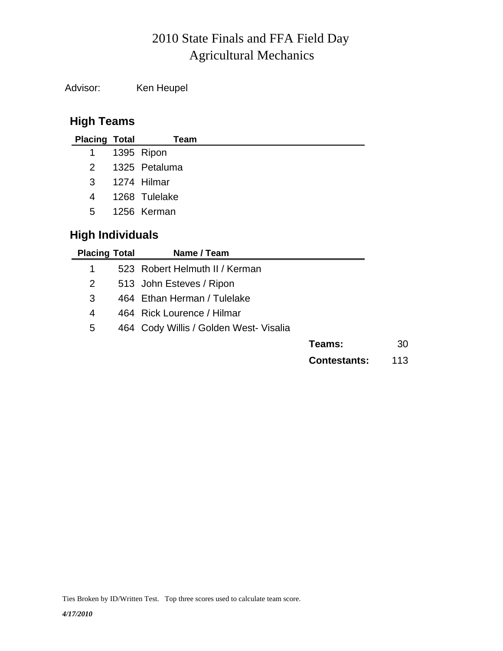# Agricultural Mechanics 2010 State Finals and FFA Field Day

Advisor: Ken Heupel

# **High Teams**

| <b>Placing Total</b> |                         | Team          |  |  |  |  |  |  |  |
|----------------------|-------------------------|---------------|--|--|--|--|--|--|--|
| $\overline{1}$       |                         | 1395 Ripon    |  |  |  |  |  |  |  |
| 2                    |                         | 1325 Petaluma |  |  |  |  |  |  |  |
| 3                    |                         | 1274 Hilmar   |  |  |  |  |  |  |  |
| 4                    |                         | 1268 Tulelake |  |  |  |  |  |  |  |
| $5^{\circ}$          |                         | 1256 Kerman   |  |  |  |  |  |  |  |
|                      | <b>High Individuals</b> |               |  |  |  |  |  |  |  |

| <b>Placing Total</b> | Name / Team                            |                     |     |
|----------------------|----------------------------------------|---------------------|-----|
| 1                    | 523 Robert Helmuth II / Kerman         |                     |     |
| 2                    | 513 John Esteves / Ripon               |                     |     |
| 3                    | 464 Ethan Herman / Tulelake            |                     |     |
| 4                    | 464 Rick Lourence / Hilmar             |                     |     |
| 5                    | 464 Cody Willis / Golden West- Visalia |                     |     |
|                      |                                        | Teams:              | 30  |
|                      |                                        | <b>Contestants:</b> | 113 |

Ties Broken by ID/Written Test. Top three scores used to calculate team score.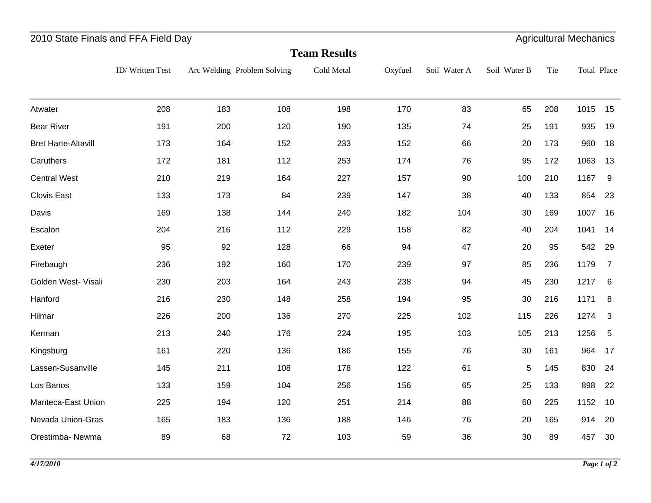## 2010 State Finals and FFA Field Day **Agricultural Mechanics** Agricultural Mechanics

|                            | <b>Team Results</b> |     |                             |            |         |              |              |     |             |                |  |
|----------------------------|---------------------|-----|-----------------------------|------------|---------|--------------|--------------|-----|-------------|----------------|--|
|                            | ID/Written Test     |     | Arc Welding Problem Solving | Cold Metal | Oxyfuel | Soil Water A | Soil Water B | Tie | Total Place |                |  |
| Atwater                    | 208                 | 183 | 108                         | 198        | 170     | 83           | 65           | 208 | 1015        | 15             |  |
| <b>Bear River</b>          | 191                 | 200 | 120                         | 190        | 135     | 74           | 25           | 191 | 935         | 19             |  |
| <b>Bret Harte-Altavill</b> | 173                 | 164 | 152                         | 233        | 152     | 66           | 20           | 173 | 960         | 18             |  |
| Caruthers                  | 172                 | 181 | 112                         | 253        | 174     | 76           | 95           | 172 | 1063        | 13             |  |
| <b>Central West</b>        | 210                 | 219 | 164                         | 227        | 157     | 90           | 100          | 210 | 1167        | 9              |  |
| Clovis East                | 133                 | 173 | 84                          | 239        | 147     | 38           | 40           | 133 | 854         | 23             |  |
| Davis                      | 169                 | 138 | 144                         | 240        | 182     | 104          | 30           | 169 | 1007        | 16             |  |
| Escalon                    | 204                 | 216 | 112                         | 229        | 158     | 82           | 40           | 204 | 1041        | 14             |  |
| Exeter                     | 95                  | 92  | 128                         | 66         | 94      | 47           | 20           | 95  | 542         | 29             |  |
| Firebaugh                  | 236                 | 192 | 160                         | 170        | 239     | 97           | 85           | 236 | 1179        | $\overline{7}$ |  |
| Golden West- Visali        | 230                 | 203 | 164                         | 243        | 238     | 94           | 45           | 230 | 1217        | 6              |  |
| Hanford                    | 216                 | 230 | 148                         | 258        | 194     | 95           | 30           | 216 | 1171        | 8              |  |
| Hilmar                     | 226                 | 200 | 136                         | 270        | 225     | 102          | 115          | 226 | 1274        | 3              |  |
| Kerman                     | 213                 | 240 | 176                         | 224        | 195     | 103          | 105          | 213 | 1256        | $\overline{5}$ |  |
| Kingsburg                  | 161                 | 220 | 136                         | 186        | 155     | 76           | 30           | 161 | 964         | 17             |  |
| Lassen-Susanville          | 145                 | 211 | 108                         | 178        | 122     | 61           | $\mathbf 5$  | 145 | 830         | 24             |  |
| Los Banos                  | 133                 | 159 | 104                         | 256        | 156     | 65           | 25           | 133 | 898         | 22             |  |
| Manteca-East Union         | 225                 | 194 | 120                         | 251        | 214     | 88           | 60           | 225 | 1152        | 10             |  |
| Nevada Union-Gras          | 165                 | 183 | 136                         | 188        | 146     | 76           | 20           | 165 | 914         | 20             |  |
| Orestimba- Newma           | 89                  | 68  | 72                          | 103        | 59      | 36           | 30           | 89  | 457         | 30             |  |